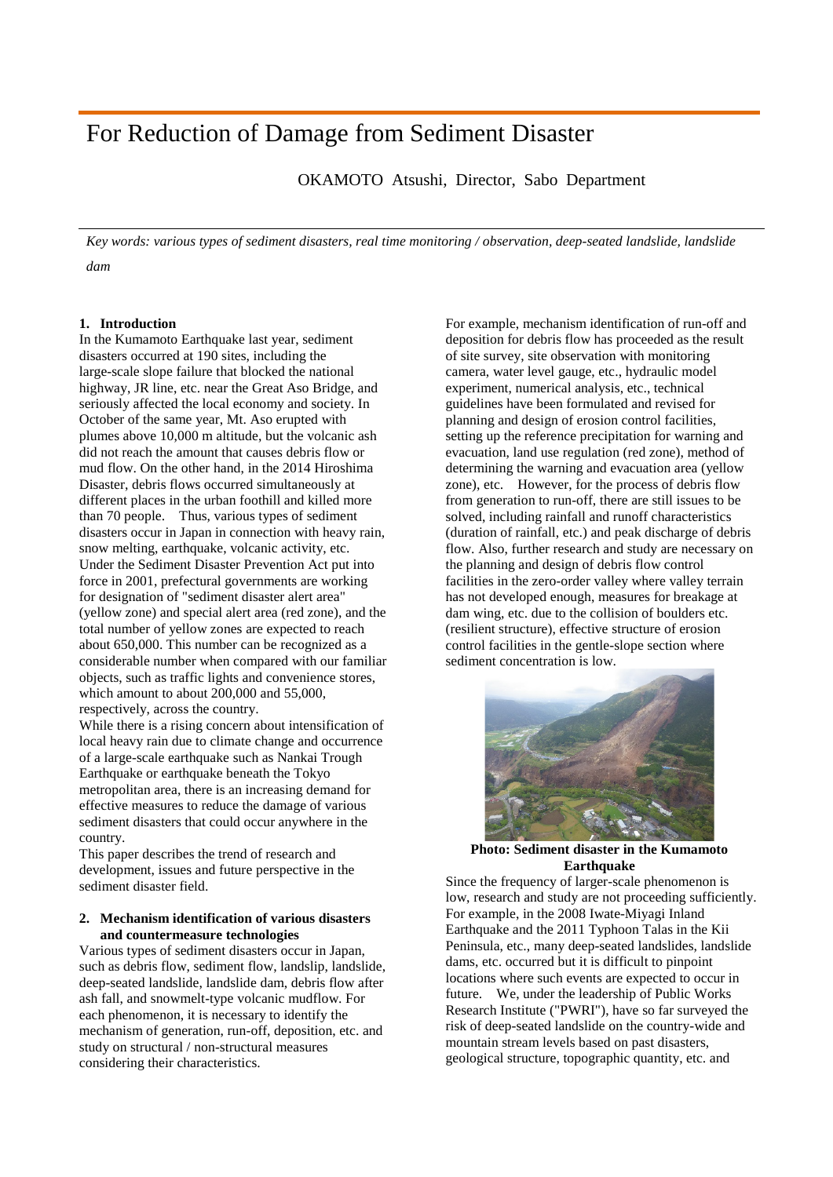# For Reduction of Damage from Sediment Disaster

OKAMOTO Atsushi, Director, Sabo Department

*Key words: various types of sediment disasters, real time monitoring / observation, deep-seated landslide, landslide dam*

# **1. Introduction**

In the Kumamoto Earthquake last year, sediment disasters occurred at 190 sites, including the large-scale slope failure that blocked the national highway, JR line, etc. near the Great Aso Bridge, and seriously affected the local economy and society. In October of the same year, Mt. Aso erupted with plumes above 10,000 m altitude, but the volcanic ash did not reach the amount that causes debris flow or mud flow. On the other hand, in the 2014 Hiroshima Disaster, debris flows occurred simultaneously at different places in the urban foothill and killed more than 70 people. Thus, various types of sediment disasters occur in Japan in connection with heavy rain, snow melting, earthquake, volcanic activity, etc. Under the Sediment Disaster Prevention Act put into force in 2001, prefectural governments are working for designation of "sediment disaster alert area" (yellow zone) and special alert area (red zone), and the total number of yellow zones are expected to reach about 650,000. This number can be recognized as a considerable number when compared with our familiar objects, such as traffic lights and convenience stores, which amount to about 200,000 and 55,000, respectively, across the country.

While there is a rising concern about intensification of local heavy rain due to climate change and occurrence of a large-scale earthquake such as Nankai Trough Earthquake or earthquake beneath the Tokyo metropolitan area, there is an increasing demand for effective measures to reduce the damage of various sediment disasters that could occur anywhere in the country.

This paper describes the trend of research and development, issues and future perspective in the sediment disaster field.

## **2. Mechanism identification of various disasters and countermeasure technologies**

Various types of sediment disasters occur in Japan, such as debris flow, sediment flow, landslip, landslide, deep-seated landslide, landslide dam, debris flow after ash fall, and snowmelt-type volcanic mudflow. For each phenomenon, it is necessary to identify the mechanism of generation, run-off, deposition, etc. and study on structural / non-structural measures considering their characteristics.

For example, mechanism identification of run-off and deposition for debris flow has proceeded as the result of site survey, site observation with monitoring camera, water level gauge, etc., hydraulic model experiment, numerical analysis, etc., technical guidelines have been formulated and revised for planning and design of erosion control facilities, setting up the reference precipitation for warning and evacuation, land use regulation (red zone), method of determining the warning and evacuation area (yellow zone), etc. However, for the process of debris flow from generation to run-off, there are still issues to be solved, including rainfall and runoff characteristics (duration of rainfall, etc.) and peak discharge of debris flow. Also, further research and study are necessary on the planning and design of debris flow control facilities in the zero-order valley where valley terrain has not developed enough, measures for breakage at dam wing, etc. due to the collision of boulders etc. (resilient structure), effective structure of erosion control facilities in the gentle-slope section where sediment concentration is low.



**Photo: Sediment disaster in the Kumamoto Earthquake** 

Since the frequency of larger-scale phenomenon is low, research and study are not proceeding sufficiently. For example, in the 2008 Iwate-Miyagi Inland Earthquake and the 2011 Typhoon Talas in the Kii Peninsula, etc., many deep-seated landslides, landslide dams, etc. occurred but it is difficult to pinpoint locations where such events are expected to occur in future. We, under the leadership of Public Works Research Institute ("PWRI"), have so far surveyed the risk of deep-seated landslide on the country-wide and mountain stream levels based on past disasters, geological structure, topographic quantity, etc. and